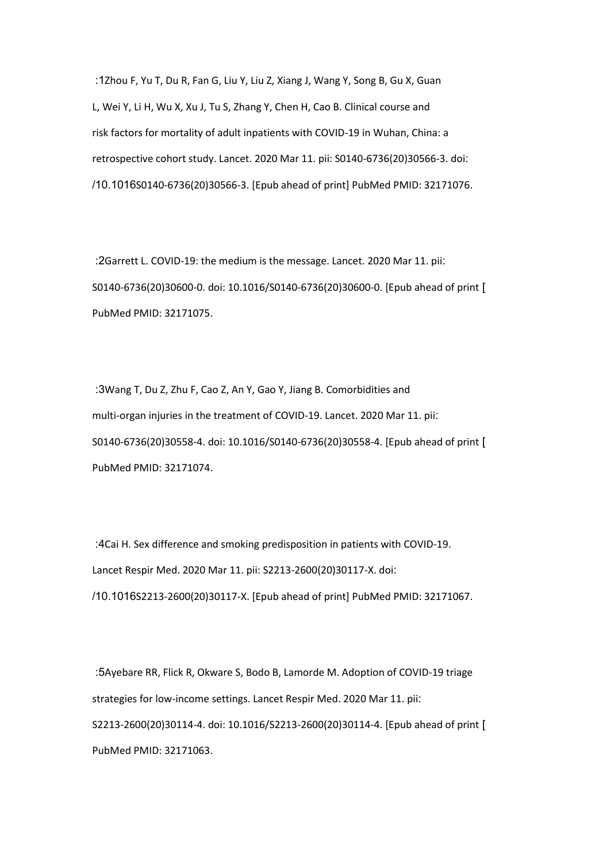:1Zhou F, Yu T, Du R, Fan G, Liu Y, Liu Z, Xiang J, Wang Y, Song B, Gu X, Guan L, Wei Y, Li H, Wu X, Xu J, Tu S, Zhang Y, Chen H, Cao B. Clinical course and risk factors for mortality of adult inpatients with COVID-19 in Wuhan, China: a retrospective cohort study. Lancet. 2020 Mar 11. pii: S0140-6736(20)30566-3. doi: /10.1016S0140-6736(20)30566-3. [Epub ahead of print] PubMed PMID: 32171076.

 :2Garrett L. COVID-19: the medium is the message. Lancet. 2020 Mar 11. pii: S0140-6736(20)30600-0. doi: 10.1016/S0140-6736(20)30600-0. [Epub ahead of print ] PubMed PMID: 32171075.

 :3Wang T, Du Z, Zhu F, Cao Z, An Y, Gao Y, Jiang B. Comorbidities and multi-organ injuries in the treatment of COVID-19. Lancet. 2020 Mar 11. pii: S0140-6736(20)30558-4. doi: 10.1016/S0140-6736(20)30558-4. [Epub ahead of print ] PubMed PMID: 32171074.

 :4Cai H. Sex difference and smoking predisposition in patients with COVID-19. Lancet Respir Med. 2020 Mar 11. pii: S2213-2600(20)30117-X. doi: /10.1016S2213-2600(20)30117-X. [Epub ahead of print] PubMed PMID: 32171067.

 :5Ayebare RR, Flick R, Okware S, Bodo B, Lamorde M. Adoption of COVID-19 triage strategies for low-income settings. Lancet Respir Med. 2020 Mar 11. pii: S2213-2600(20)30114-4. doi: 10.1016/S2213-2600(20)30114-4. [Epub ahead of print ] PubMed PMID: 32171063.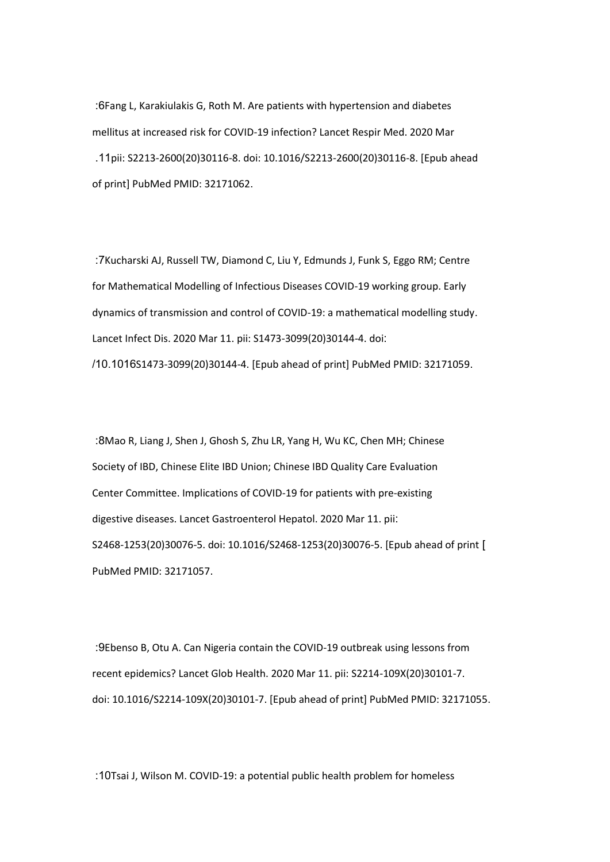:6Fang L, Karakiulakis G, Roth M. Are patients with hypertension and diabetes mellitus at increased risk for COVID-19 infection? Lancet Respir Med. 2020 Mar .11pii: S2213-2600(20)30116-8. doi: 10.1016/S2213-2600(20)30116-8. [Epub ahead of print] PubMed PMID: 32171062.

 :7Kucharski AJ, Russell TW, Diamond C, Liu Y, Edmunds J, Funk S, Eggo RM; Centre for Mathematical Modelling of Infectious Diseases COVID-19 working group. Early dynamics of transmission and control of COVID-19: a mathematical modelling study. Lancet Infect Dis. 2020 Mar 11. pii: S1473-3099(20)30144-4. doi: /10.1016S1473-3099(20)30144-4. [Epub ahead of print] PubMed PMID: 32171059.

 :8Mao R, Liang J, Shen J, Ghosh S, Zhu LR, Yang H, Wu KC, Chen MH; Chinese Society of IBD, Chinese Elite IBD Union; Chinese IBD Quality Care Evaluation Center Committee. Implications of COVID-19 for patients with pre-existing digestive diseases. Lancet Gastroenterol Hepatol. 2020 Mar 11. pii: S2468-1253(20)30076-5. doi: 10.1016/S2468-1253(20)30076-5. [Epub ahead of print ] PubMed PMID: 32171057.

 :9Ebenso B, Otu A. Can Nigeria contain the COVID-19 outbreak using lessons from recent epidemics? Lancet Glob Health. 2020 Mar 11. pii: S2214-109X(20)30101-7. doi: 10.1016/S2214-109X(20)30101-7. [Epub ahead of print] PubMed PMID: 32171055.

:10Tsai J, Wilson M. COVID-19: a potential public health problem for homeless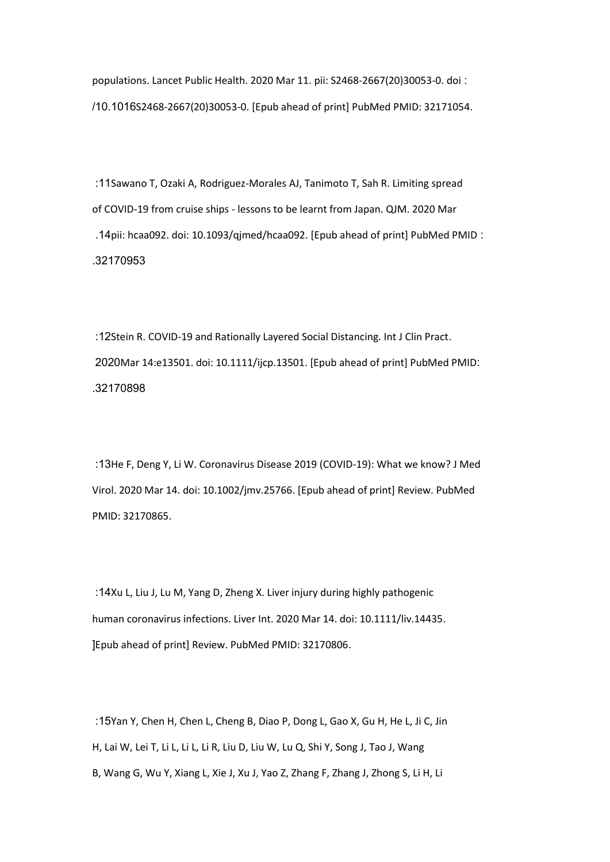populations. Lancet Public Health. 2020 Mar 11. pii: S2468-2667(20)30053-0. doi : /10.1016S2468-2667(20)30053-0. [Epub ahead of print] PubMed PMID: 32171054.

 :11Sawano T, Ozaki A, Rodriguez-Morales AJ, Tanimoto T, Sah R. Limiting spread of COVID-19 from cruise ships - lessons to be learnt from Japan. QJM. 2020 Mar .14pii: hcaa092. doi: 10.1093/qjmed/hcaa092. [Epub ahead of print] PubMed PMID : .32170953

 :12Stein R. COVID-19 and Rationally Layered Social Distancing. Int J Clin Pract. 2020Mar 14:e13501. doi: 10.1111/ijcp.13501. [Epub ahead of print] PubMed PMID: .32170898

 :13He F, Deng Y, Li W. Coronavirus Disease 2019 (COVID-19): What we know? J Med Virol. 2020 Mar 14. doi: 10.1002/jmv.25766. [Epub ahead of print] Review. PubMed PMID: 32170865.

 :14Xu L, Liu J, Lu M, Yang D, Zheng X. Liver injury during highly pathogenic human coronavirus infections. Liver Int. 2020 Mar 14. doi: 10.1111/liv.14435. [Epub ahead of print] Review. PubMed PMID: 32170806.

 :15Yan Y, Chen H, Chen L, Cheng B, Diao P, Dong L, Gao X, Gu H, He L, Ji C, Jin H, Lai W, Lei T, Li L, Li L, Li R, Liu D, Liu W, Lu Q, Shi Y, Song J, Tao J, Wang B, Wang G, Wu Y, Xiang L, Xie J, Xu J, Yao Z, Zhang F, Zhang J, Zhong S, Li H, Li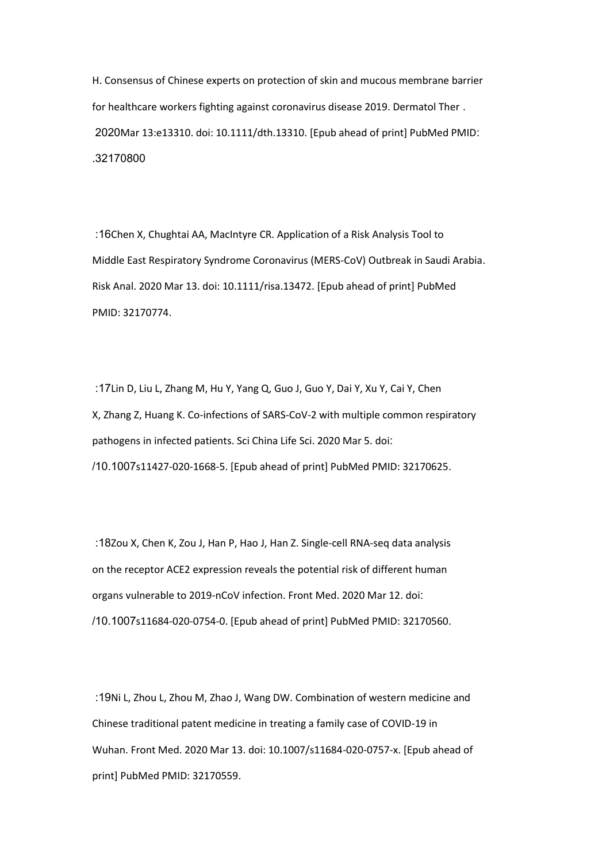H. Consensus of Chinese experts on protection of skin and mucous membrane barrier for healthcare workers fighting against coronavirus disease 2019. Dermatol Ther . 2020Mar 13:e13310. doi: 10.1111/dth.13310. [Epub ahead of print] PubMed PMID: .32170800

 :16Chen X, Chughtai AA, MacIntyre CR. Application of a Risk Analysis Tool to Middle East Respiratory Syndrome Coronavirus (MERS-CoV) Outbreak in Saudi Arabia. Risk Anal. 2020 Mar 13. doi: 10.1111/risa.13472. [Epub ahead of print] PubMed PMID: 32170774.

 :17Lin D, Liu L, Zhang M, Hu Y, Yang Q, Guo J, Guo Y, Dai Y, Xu Y, Cai Y, Chen X, Zhang Z, Huang K. Co-infections of SARS-CoV-2 with multiple common respiratory pathogens in infected patients. Sci China Life Sci. 2020 Mar 5. doi: /10.1007s11427-020-1668-5. [Epub ahead of print] PubMed PMID: 32170625.

 :18Zou X, Chen K, Zou J, Han P, Hao J, Han Z. Single-cell RNA-seq data analysis on the receptor ACE2 expression reveals the potential risk of different human organs vulnerable to 2019-nCoV infection. Front Med. 2020 Mar 12. doi: /10.1007s11684-020-0754-0. [Epub ahead of print] PubMed PMID: 32170560.

 :19Ni L, Zhou L, Zhou M, Zhao J, Wang DW. Combination of western medicine and Chinese traditional patent medicine in treating a family case of COVID-19 in Wuhan. Front Med. 2020 Mar 13. doi: 10.1007/s11684-020-0757-x. [Epub ahead of print] PubMed PMID: 32170559.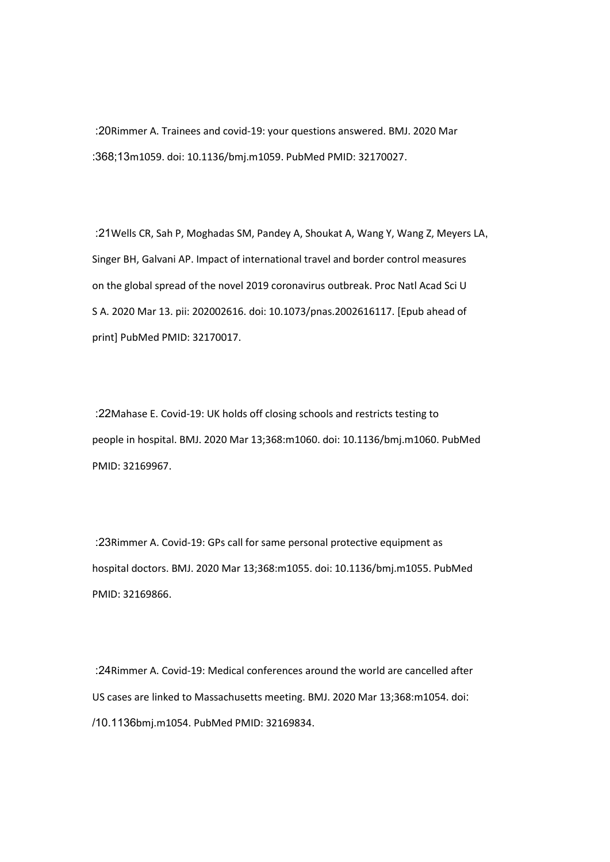:20Rimmer A. Trainees and covid-19: your questions answered. BMJ. 2020 Mar :368;13m1059. doi: 10.1136/bmj.m1059. PubMed PMID: 32170027.

 :21Wells CR, Sah P, Moghadas SM, Pandey A, Shoukat A, Wang Y, Wang Z, Meyers LA, Singer BH, Galvani AP. Impact of international travel and border control measures on the global spread of the novel 2019 coronavirus outbreak. Proc Natl Acad Sci U S A. 2020 Mar 13. pii: 202002616. doi: 10.1073/pnas.2002616117. [Epub ahead of print] PubMed PMID: 32170017.

 :22Mahase E. Covid-19: UK holds off closing schools and restricts testing to people in hospital. BMJ. 2020 Mar 13;368:m1060. doi: 10.1136/bmj.m1060. PubMed PMID: 32169967.

 :23Rimmer A. Covid-19: GPs call for same personal protective equipment as hospital doctors. BMJ. 2020 Mar 13;368:m1055. doi: 10.1136/bmj.m1055. PubMed PMID: 32169866.

 :24Rimmer A. Covid-19: Medical conferences around the world are cancelled after US cases are linked to Massachusetts meeting. BMJ. 2020 Mar 13;368:m1054. doi: /10.1136bmj.m1054. PubMed PMID: 32169834.